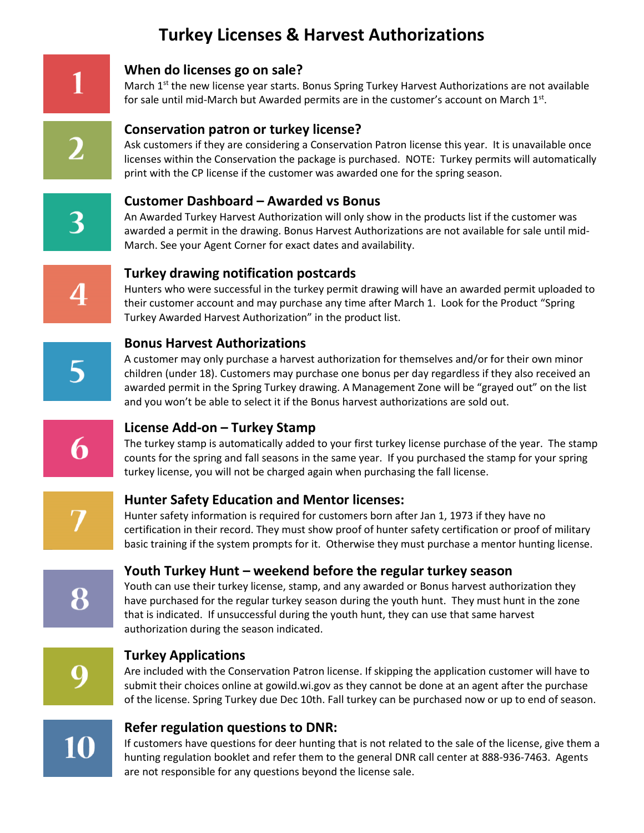## **Turkey Licenses & Harvest Authorizations**

### **When do licenses go on sale?**

March 1<sup>st</sup> the new license year starts. Bonus Spring Turkey Harvest Authorizations are not available for sale until mid-March but Awarded permits are in the customer's account on March  $1<sup>st</sup>$ .

### **Conservation patron or turkey license?**

Ask customers if they are considering a Conservation Patron license this year. It is unavailable once licenses within the Conservation the package is purchased. NOTE: Turkey permits will automatically print with the CP license if the customer was awarded one for the spring season.

# 3

### **Customer Dashboard – Awarded vs Bonus**

An Awarded Turkey Harvest Authorization will only show in the products list if the customer was awarded a permit in the drawing. Bonus Harvest Authorizations are not available for sale until mid-March. See your Agent Corner for exact dates and availability.

# 4

### **Turkey drawing notification postcards**

Hunters who were successful in the turkey permit drawing will have an awarded permit uploaded to their customer account and may purchase any time after March 1. Look for the Product "Spring Turkey Awarded Harvest Authorization" in the product list.

### **Bonus Harvest Authorizations**

A customer may only purchase a harvest authorization for themselves and/or for their own minor children (under 18). Customers may purchase one bonus per day regardless if they also received an awarded permit in the Spring Turkey drawing. A Management Zone will be "grayed out" on the list and you won't be able to select it if the Bonus harvest authorizations are sold out.

5

### **License Add-on – Turkey Stamp**

The turkey stamp is automatically added to your first turkey license purchase of the year. The stamp counts for the spring and fall seasons in the same year. If you purchased the stamp for your spring turkey license, you will not be charged again when purchasing the fall license.

### **Hunter Safety Education and Mentor licenses:**

Hunter safety information is required for customers born after Jan 1, 1973 if they have no certification in their record. They must show proof of hunter safety certification or proof of military basic training if the system prompts for it. Otherwise they must purchase a mentor hunting license.

8

### **Youth Turkey Hunt – weekend before the regular turkey season**

Youth can use their turkey license, stamp, and any awarded or Bonus harvest authorization they have purchased for the regular turkey season during the youth hunt. They must hunt in the zone that is indicated. If unsuccessful during the youth hunt, they can use that same harvest authorization during the season indicated.

### **Turkey Applications**

Are included with the Conservation Patron license. If skipping the application customer will have to submit their choices online at gowild.wi.gov as they cannot be done at an agent after the purchase of the license. Spring Turkey due Dec 10th. Fall turkey can be purchased now or up to end of season.

## **Refer regulation questions to DNR:**

If customers have questions for deer hunting that is not related to the sale of the license, give them a hunting regulation booklet and refer them to the general DNR call center at 888-936-7463. Agents are not responsible for any questions beyond the license sale.

1